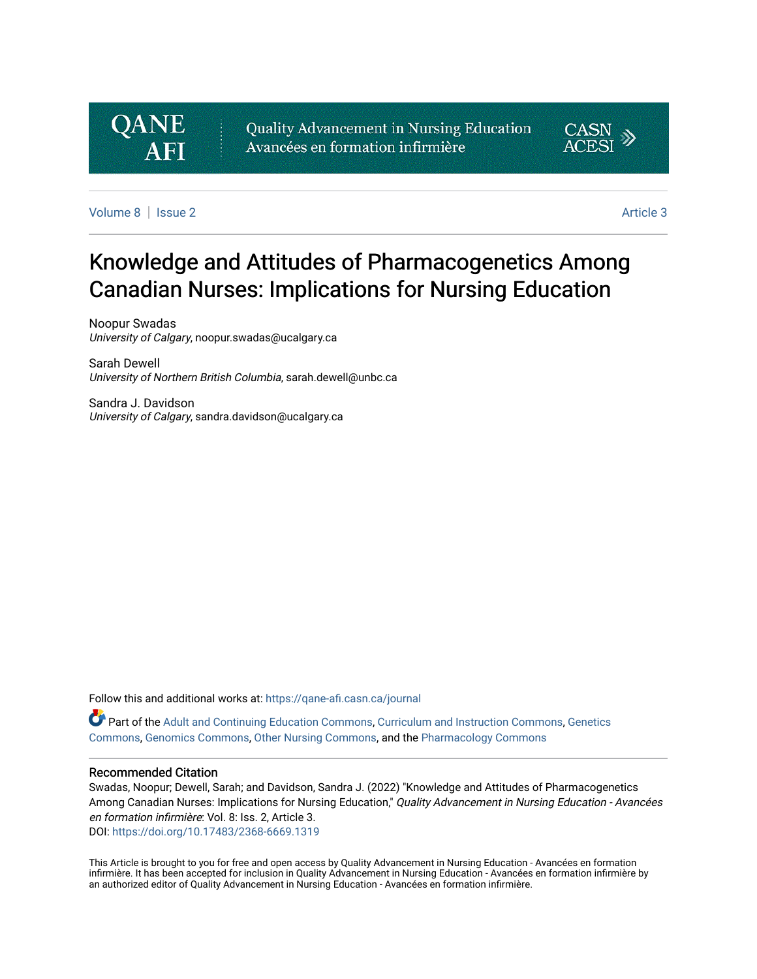

Quality Advancement in Nursing Education Avancées en formation infirmière



[Volume 8](https://qane-afi.casn.ca/journal/vol8) | [Issue 2](https://qane-afi.casn.ca/journal/vol8/iss2) [Article 3](https://qane-afi.casn.ca/journal/vol8/iss2/3) | Article 3 | Article 3 | Article 3 | Article 3 | Article 3 | Article 3 | Article 3 | Article 3 | Article 3 | Article 3 | Article 3 | Article 3 | Article 3 | Article 3 | Article 3 | Article 3 |

# Knowledge and Attitudes of Pharmacogenetics Among Canadian Nurses: Implications for Nursing Education

Noopur Swadas University of Calgary, noopur.swadas@ucalgary.ca

Sarah Dewell University of Northern British Columbia, sarah.dewell@unbc.ca

Sandra J. Davidson University of Calgary, sandra.davidson@ucalgary.ca

Follow this and additional works at: [https://qane-afi.casn.ca/journal](https://qane-afi.casn.ca/journal?utm_source=qane-afi.casn.ca%2Fjournal%2Fvol8%2Fiss2%2F3&utm_medium=PDF&utm_campaign=PDFCoverPages) 

Part of the [Adult and Continuing Education Commons,](https://network.bepress.com/hgg/discipline/1375?utm_source=qane-afi.casn.ca%2Fjournal%2Fvol8%2Fiss2%2F3&utm_medium=PDF&utm_campaign=PDFCoverPages) [Curriculum and Instruction Commons](https://network.bepress.com/hgg/discipline/786?utm_source=qane-afi.casn.ca%2Fjournal%2Fvol8%2Fiss2%2F3&utm_medium=PDF&utm_campaign=PDFCoverPages), [Genetics](https://network.bepress.com/hgg/discipline/29?utm_source=qane-afi.casn.ca%2Fjournal%2Fvol8%2Fiss2%2F3&utm_medium=PDF&utm_campaign=PDFCoverPages)  [Commons,](https://network.bepress.com/hgg/discipline/29?utm_source=qane-afi.casn.ca%2Fjournal%2Fvol8%2Fiss2%2F3&utm_medium=PDF&utm_campaign=PDFCoverPages) [Genomics Commons,](https://network.bepress.com/hgg/discipline/30?utm_source=qane-afi.casn.ca%2Fjournal%2Fvol8%2Fiss2%2F3&utm_medium=PDF&utm_campaign=PDFCoverPages) [Other Nursing Commons,](https://network.bepress.com/hgg/discipline/729?utm_source=qane-afi.casn.ca%2Fjournal%2Fvol8%2Fiss2%2F3&utm_medium=PDF&utm_campaign=PDFCoverPages) and the [Pharmacology Commons](https://network.bepress.com/hgg/discipline/66?utm_source=qane-afi.casn.ca%2Fjournal%2Fvol8%2Fiss2%2F3&utm_medium=PDF&utm_campaign=PDFCoverPages)

#### Recommended Citation

Swadas, Noopur; Dewell, Sarah; and Davidson, Sandra J. (2022) "Knowledge and Attitudes of Pharmacogenetics Among Canadian Nurses: Implications for Nursing Education," Quality Advancement in Nursing Education - Avancées en formation infirmière: Vol. 8: Iss. 2, Article 3. DOI: <https://doi.org/10.17483/2368-6669.1319>

This Article is brought to you for free and open access by Quality Advancement in Nursing Education - Avancées en formation infirmière. It has been accepted for inclusion in Quality Advancement in Nursing Education - Avancées en formation infirmière by an authorized editor of Quality Advancement in Nursing Education - Avancées en formation infirmière.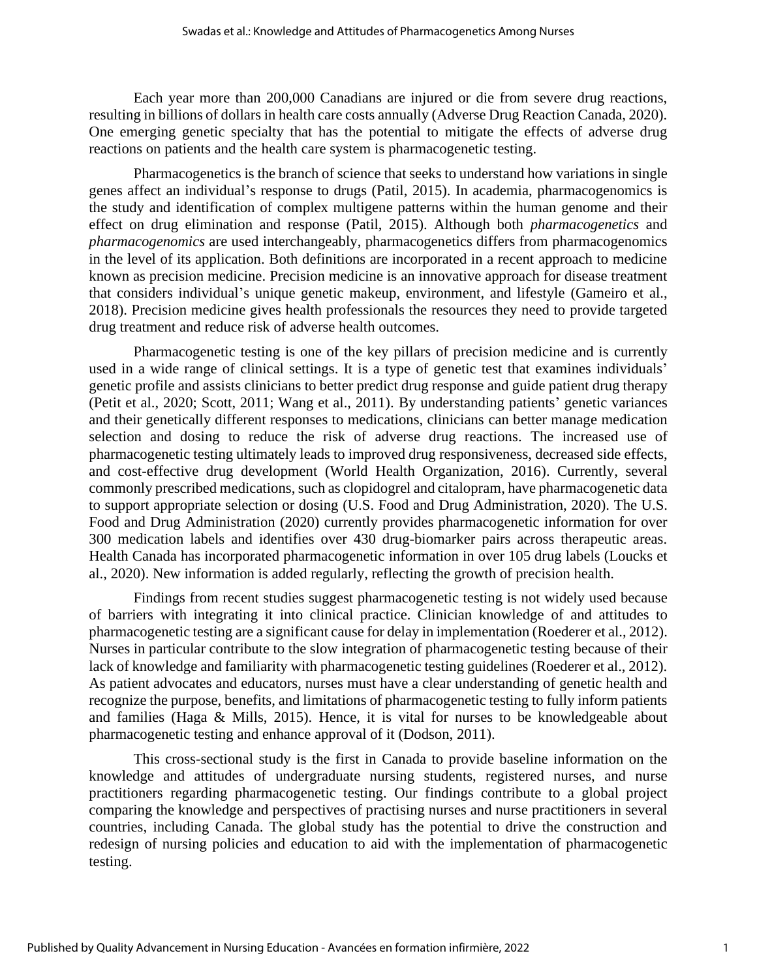Each year more than 200,000 Canadians are injured or die from severe drug reactions, resulting in billions of dollars in health care costs annually (Adverse Drug Reaction Canada, 2020). One emerging genetic specialty that has the potential to mitigate the effects of adverse drug reactions on patients and the health care system is pharmacogenetic testing.

Pharmacogenetics is the branch of science that seeks to understand how variations in single genes affect an individual's response to drugs (Patil, 2015). In academia, pharmacogenomics is the study and identification of complex multigene patterns within the human genome and their effect on drug elimination and response (Patil, 2015). Although both *pharmacogenetics* and *pharmacogenomics* are used interchangeably, pharmacogenetics differs from pharmacogenomics in the level of its application. Both definitions are incorporated in a recent approach to medicine known as precision medicine. Precision medicine is an innovative approach for disease treatment that considers individual's unique genetic makeup, environment, and lifestyle (Gameiro et al., 2018). Precision medicine gives health professionals the resources they need to provide targeted drug treatment and reduce risk of adverse health outcomes.

Pharmacogenetic testing is one of the key pillars of precision medicine and is currently used in a wide range of clinical settings. It is a type of genetic test that examines individuals' genetic profile and assists clinicians to better predict drug response and guide patient drug therapy (Petit et al., 2020; Scott, 2011; Wang et al., 2011). By understanding patients' genetic variances and their genetically different responses to medications, clinicians can better manage medication selection and dosing to reduce the risk of adverse drug reactions. The increased use of pharmacogenetic testing ultimately leads to improved drug responsiveness, decreased side effects, and cost-effective drug development (World Health Organization, 2016). Currently, several commonly prescribed medications, such as clopidogrel and citalopram, have pharmacogenetic data to support appropriate selection or dosing (U.S. Food and Drug Administration, 2020). The U.S. Food and Drug Administration (2020) currently provides pharmacogenetic information for over 300 medication labels and identifies over 430 drug-biomarker pairs across therapeutic areas. Health Canada has incorporated pharmacogenetic information in over 105 drug labels (Loucks et al., 2020). New information is added regularly, reflecting the growth of precision health.

Findings from recent studies suggest pharmacogenetic testing is not widely used because of barriers with integrating it into clinical practice. Clinician knowledge of and attitudes to pharmacogenetic testing are a significant cause for delay in implementation (Roederer et al., 2012). Nurses in particular contribute to the slow integration of pharmacogenetic testing because of their lack of knowledge and familiarity with pharmacogenetic testing guidelines (Roederer et al., 2012). As patient advocates and educators, nurses must have a clear understanding of genetic health and recognize the purpose, benefits, and limitations of pharmacogenetic testing to fully inform patients and families (Haga & Mills, 2015). Hence, it is vital for nurses to be knowledgeable about pharmacogenetic testing and enhance approval of it (Dodson, 2011).

This cross-sectional study is the first in Canada to provide baseline information on the knowledge and attitudes of undergraduate nursing students, registered nurses, and nurse practitioners regarding pharmacogenetic testing. Our findings contribute to a global project comparing the knowledge and perspectives of practising nurses and nurse practitioners in several countries, including Canada. The global study has the potential to drive the construction and redesign of nursing policies and education to aid with the implementation of pharmacogenetic testing.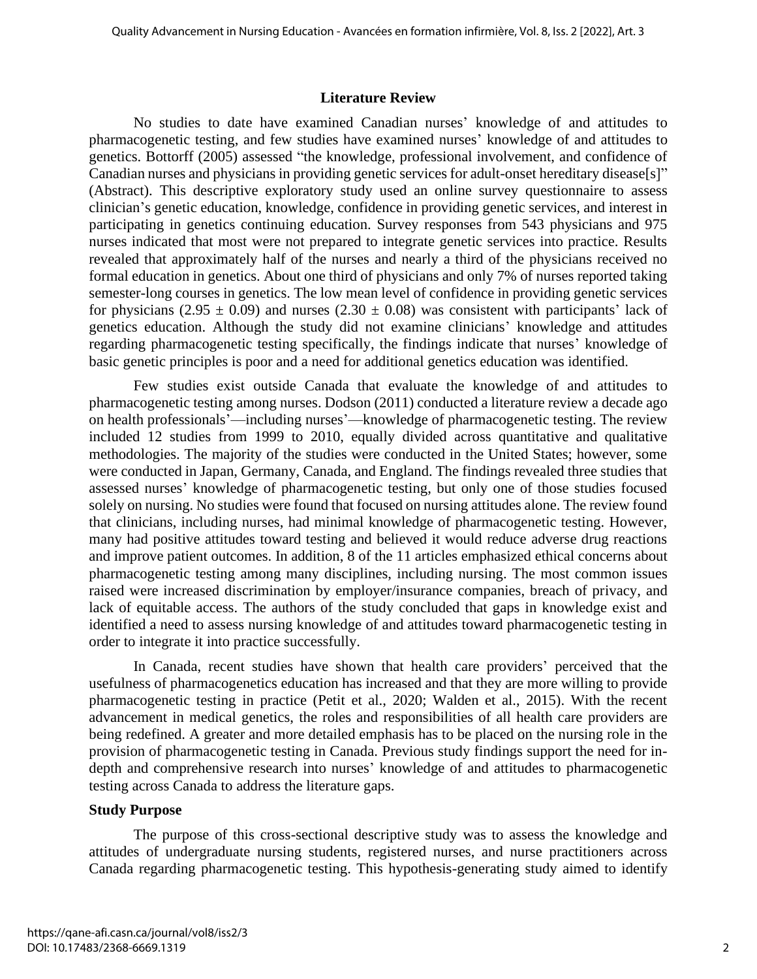#### **Literature Review**

No studies to date have examined Canadian nurses' knowledge of and attitudes to pharmacogenetic testing, and few studies have examined nurses' knowledge of and attitudes to genetics. Bottorff (2005) assessed "the knowledge, professional involvement, and confidence of Canadian nurses and physicians in providing genetic services for adult-onset hereditary disease[s]" (Abstract). This descriptive exploratory study used an online survey questionnaire to assess clinician's genetic education, knowledge, confidence in providing genetic services, and interest in participating in genetics continuing education. Survey responses from 543 physicians and 975 nurses indicated that most were not prepared to integrate genetic services into practice. Results revealed that approximately half of the nurses and nearly a third of the physicians received no formal education in genetics. About one third of physicians and only 7% of nurses reported taking semester-long courses in genetics. The low mean level of confidence in providing genetic services for physicians (2.95  $\pm$  0.09) and nurses (2.30  $\pm$  0.08) was consistent with participants' lack of genetics education. Although the study did not examine clinicians' knowledge and attitudes regarding pharmacogenetic testing specifically, the findings indicate that nurses' knowledge of basic genetic principles is poor and a need for additional genetics education was identified.

Few studies exist outside Canada that evaluate the knowledge of and attitudes to pharmacogenetic testing among nurses. Dodson (2011) conducted a literature review a decade ago on health professionals'—including nurses'—knowledge of pharmacogenetic testing. The review included 12 studies from 1999 to 2010, equally divided across quantitative and qualitative methodologies. The majority of the studies were conducted in the United States; however, some were conducted in Japan, Germany, Canada, and England. The findings revealed three studies that assessed nurses' knowledge of pharmacogenetic testing, but only one of those studies focused solely on nursing. No studies were found that focused on nursing attitudes alone. The review found that clinicians, including nurses, had minimal knowledge of pharmacogenetic testing. However, many had positive attitudes toward testing and believed it would reduce adverse drug reactions and improve patient outcomes. In addition, 8 of the 11 articles emphasized ethical concerns about pharmacogenetic testing among many disciplines, including nursing. The most common issues raised were increased discrimination by employer/insurance companies, breach of privacy, and lack of equitable access. The authors of the study concluded that gaps in knowledge exist and identified a need to assess nursing knowledge of and attitudes toward pharmacogenetic testing in order to integrate it into practice successfully.

In Canada, recent studies have shown that health care providers' perceived that the usefulness of pharmacogenetics education has increased and that they are more willing to provide pharmacogenetic testing in practice (Petit et al., 2020; Walden et al., 2015). With the recent advancement in medical genetics, the roles and responsibilities of all health care providers are being redefined. A greater and more detailed emphasis has to be placed on the nursing role in the provision of pharmacogenetic testing in Canada. Previous study findings support the need for indepth and comprehensive research into nurses' knowledge of and attitudes to pharmacogenetic testing across Canada to address the literature gaps.

#### **Study Purpose**

The purpose of this cross-sectional descriptive study was to assess the knowledge and attitudes of undergraduate nursing students, registered nurses, and nurse practitioners across Canada regarding pharmacogenetic testing. This hypothesis-generating study aimed to identify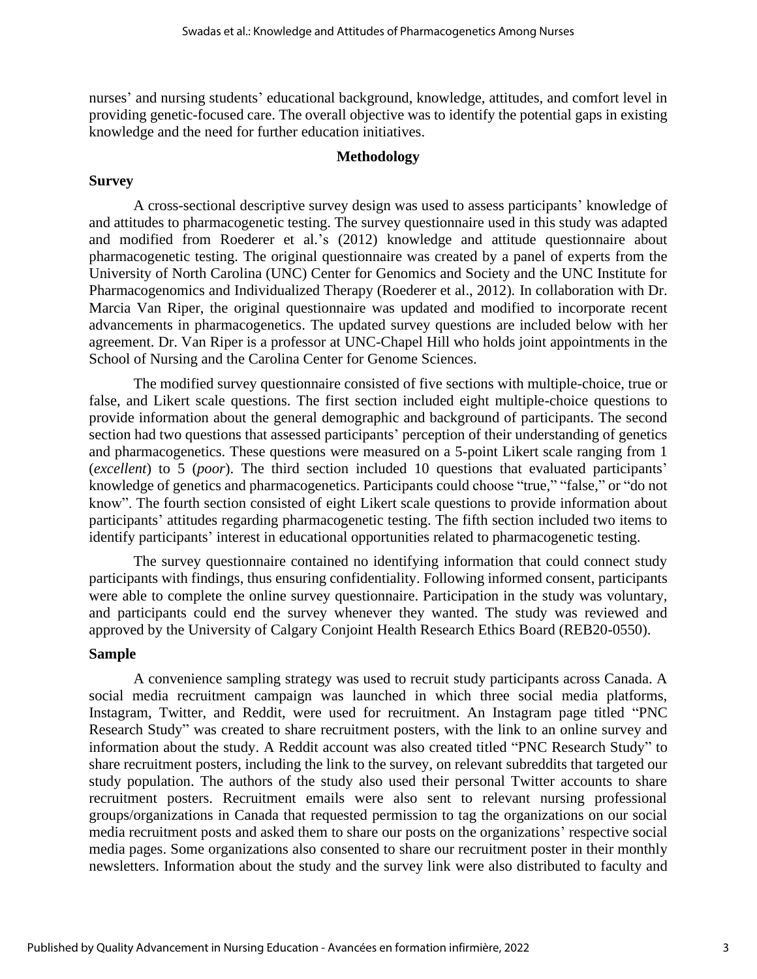nurses' and nursing students' educational background, knowledge, attitudes, and comfort level in providing genetic-focused care. The overall objective was to identify the potential gaps in existing knowledge and the need for further education initiatives.

#### **Methodology**

#### **Survey**

A cross-sectional descriptive survey design was used to assess participants' knowledge of and attitudes to pharmacogenetic testing. The survey questionnaire used in this study was adapted and modified from Roederer et al.'s (2012) knowledge and attitude questionnaire about pharmacogenetic testing. The original questionnaire was created by a panel of experts from the University of North Carolina (UNC) Center for Genomics and Society and the UNC Institute for Pharmacogenomics and Individualized Therapy (Roederer et al., 2012). In collaboration with Dr. Marcia Van Riper, the original questionnaire was updated and modified to incorporate recent advancements in pharmacogenetics. The updated survey questions are included below with her agreement. Dr. Van Riper is a professor at UNC-Chapel Hill who holds joint appointments in the School of Nursing and the Carolina Center for Genome Sciences.

The modified survey questionnaire consisted of five sections with multiple-choice, true or false, and Likert scale questions. The first section included eight multiple-choice questions to provide information about the general demographic and background of participants. The second section had two questions that assessed participants' perception of their understanding of genetics and pharmacogenetics. These questions were measured on a 5-point Likert scale ranging from 1 (*excellent*) to 5 (*poor*). The third section included 10 questions that evaluated participants' knowledge of genetics and pharmacogenetics. Participants could choose "true," "false," or "do not know". The fourth section consisted of eight Likert scale questions to provide information about participants' attitudes regarding pharmacogenetic testing. The fifth section included two items to identify participants' interest in educational opportunities related to pharmacogenetic testing.

The survey questionnaire contained no identifying information that could connect study participants with findings, thus ensuring confidentiality. Following informed consent, participants were able to complete the online survey questionnaire. Participation in the study was voluntary, and participants could end the survey whenever they wanted. The study was reviewed and approved by the University of Calgary Conjoint Health Research Ethics Board (REB20-0550).

#### **Sample**

A convenience sampling strategy was used to recruit study participants across Canada. A social media recruitment campaign was launched in which three social media platforms, Instagram, Twitter, and Reddit, were used for recruitment. An Instagram page titled "PNC Research Study" was created to share recruitment posters, with the link to an online survey and information about the study. A Reddit account was also created titled "PNC Research Study" to share recruitment posters, including the link to the survey, on relevant subreddits that targeted our study population. The authors of the study also used their personal Twitter accounts to share recruitment posters. Recruitment emails were also sent to relevant nursing professional groups/organizations in Canada that requested permission to tag the organizations on our social media recruitment posts and asked them to share our posts on the organizations' respective social media pages. Some organizations also consented to share our recruitment poster in their monthly newsletters. Information about the study and the survey link were also distributed to faculty and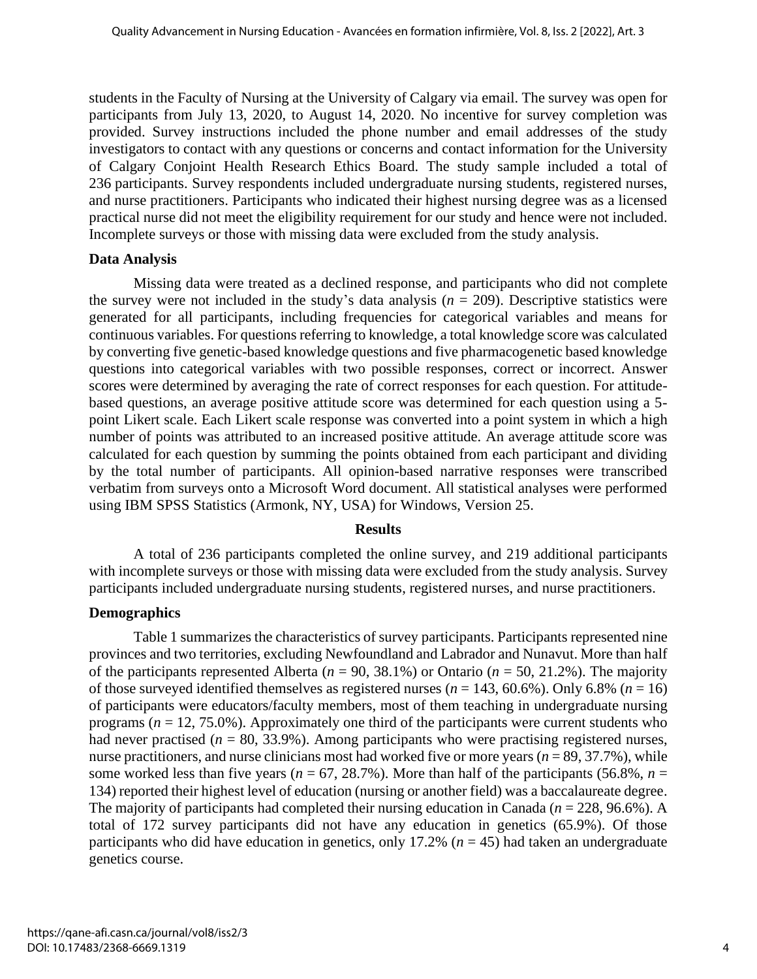students in the Faculty of Nursing at the University of Calgary via email. The survey was open for participants from July 13, 2020, to August 14, 2020. No incentive for survey completion was provided. Survey instructions included the phone number and email addresses of the study investigators to contact with any questions or concerns and contact information for the University of Calgary Conjoint Health Research Ethics Board. The study sample included a total of 236 participants. Survey respondents included undergraduate nursing students, registered nurses, and nurse practitioners. Participants who indicated their highest nursing degree was as a licensed practical nurse did not meet the eligibility requirement for our study and hence were not included. Incomplete surveys or those with missing data were excluded from the study analysis.

#### **Data Analysis**

Missing data were treated as a declined response, and participants who did not complete the survey were not included in the study's data analysis  $(n = 209)$ . Descriptive statistics were generated for all participants, including frequencies for categorical variables and means for continuous variables. For questions referring to knowledge, a total knowledge score was calculated by converting five genetic-based knowledge questions and five pharmacogenetic based knowledge questions into categorical variables with two possible responses, correct or incorrect. Answer scores were determined by averaging the rate of correct responses for each question. For attitudebased questions, an average positive attitude score was determined for each question using a 5 point Likert scale. Each Likert scale response was converted into a point system in which a high number of points was attributed to an increased positive attitude. An average attitude score was calculated for each question by summing the points obtained from each participant and dividing by the total number of participants. All opinion-based narrative responses were transcribed verbatim from surveys onto a Microsoft Word document. All statistical analyses were performed using IBM SPSS Statistics (Armonk, NY, USA) for Windows, Version 25.

#### **Results**

A total of 236 participants completed the online survey, and 219 additional participants with incomplete surveys or those with missing data were excluded from the study analysis. Survey participants included undergraduate nursing students, registered nurses, and nurse practitioners.

## **Demographics**

Table 1 summarizes the characteristics of survey participants. Participants represented nine provinces and two territories, excluding Newfoundland and Labrador and Nunavut. More than half of the participants represented Alberta ( $n = 90, 38.1\%$ ) or Ontario ( $n = 50, 21.2\%$ ). The majority of those surveyed identified themselves as registered nurses ( $n = 143, 60.6\%$ ). Only 6.8% ( $n = 16$ ) of participants were educators/faculty members, most of them teaching in undergraduate nursing programs ( $n = 12, 75.0\%$ ). Approximately one third of the participants were current students who had never practised ( $n = 80, 33.9\%$ ). Among participants who were practising registered nurses, nurse practitioners, and nurse clinicians most had worked five or more years (*n* = 89, 37.7%), while some worked less than five years ( $n = 67, 28.7\%$ ). More than half of the participants (56.8%,  $n =$ 134) reported their highest level of education (nursing or another field) was a baccalaureate degree. The majority of participants had completed their nursing education in Canada (*n* = 228, 96.6%). A total of 172 survey participants did not have any education in genetics (65.9%). Of those participants who did have education in genetics, only 17.2% ( $n = 45$ ) had taken an undergraduate genetics course.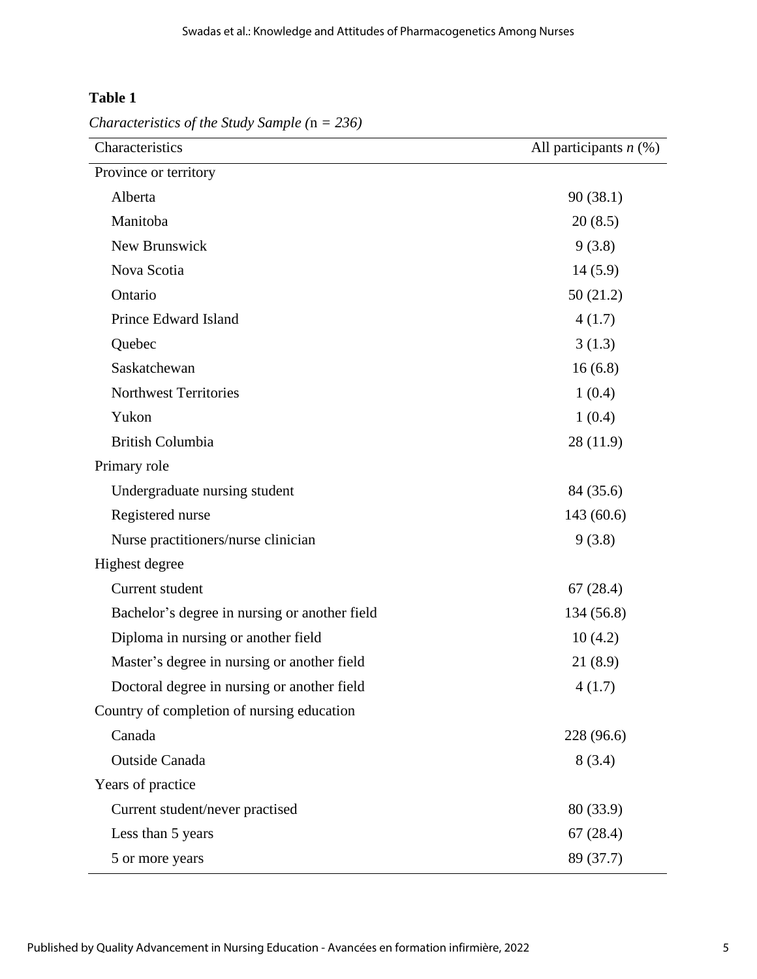## **Table 1**

*Characteristics of the Study Sample (*n *= 236)*

| Characteristics                               | All participants $n$ (%) |
|-----------------------------------------------|--------------------------|
| Province or territory                         |                          |
| Alberta                                       | 90(38.1)                 |
| Manitoba                                      | 20(8.5)                  |
| New Brunswick                                 | 9(3.8)                   |
| Nova Scotia                                   | 14(5.9)                  |
| Ontario                                       | 50(21.2)                 |
| Prince Edward Island                          | 4(1.7)                   |
| Quebec                                        | 3(1.3)                   |
| Saskatchewan                                  | 16(6.8)                  |
| <b>Northwest Territories</b>                  | 1(0.4)                   |
| Yukon                                         | 1(0.4)                   |
| <b>British Columbia</b>                       | 28(11.9)                 |
| Primary role                                  |                          |
| Undergraduate nursing student                 | 84 (35.6)                |
| Registered nurse                              | 143(60.6)                |
| Nurse practitioners/nurse clinician           | 9(3.8)                   |
| Highest degree                                |                          |
| Current student                               | 67(28.4)                 |
| Bachelor's degree in nursing or another field | 134 (56.8)               |
| Diploma in nursing or another field           | 10(4.2)                  |
| Master's degree in nursing or another field   | 21(8.9)                  |
| Doctoral degree in nursing or another field   | 4(1.7)                   |
| Country of completion of nursing education    |                          |
| Canada                                        | 228 (96.6)               |
| Outside Canada                                | 8(3.4)                   |
| Years of practice                             |                          |
| Current student/never practised               | 80 (33.9)                |
| Less than 5 years                             | 67(28.4)                 |
| 5 or more years                               | 89 (37.7)                |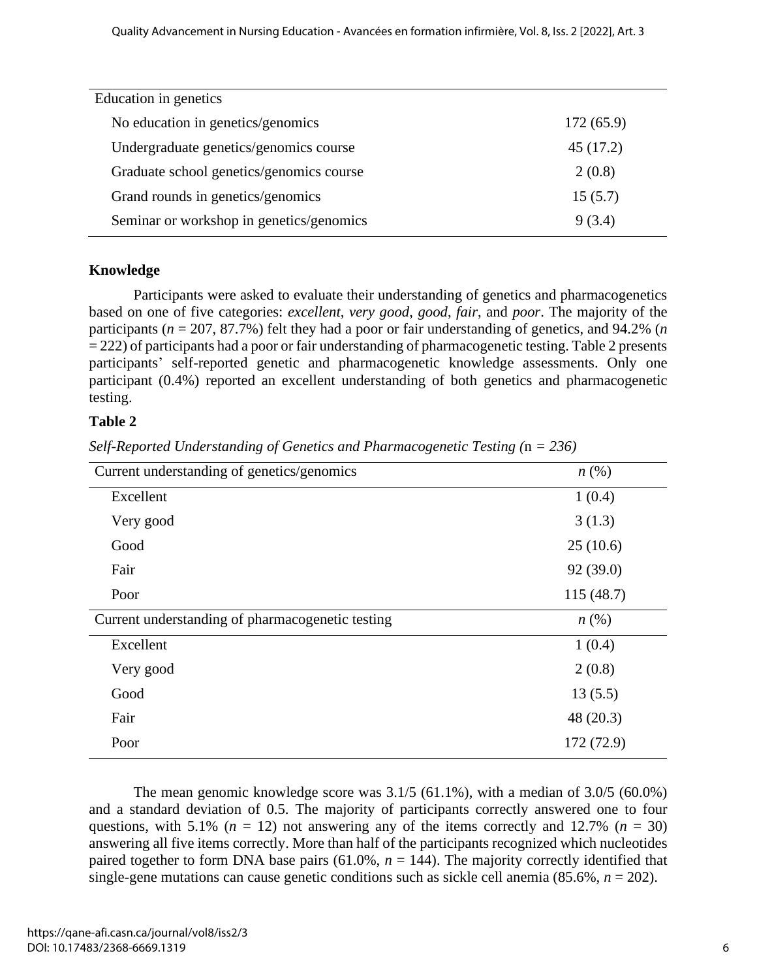| Education in genetics                    |           |
|------------------------------------------|-----------|
| No education in genetics/genomics        | 172(65.9) |
| Undergraduate genetics/genomics course   | 45 (17.2) |
| Graduate school genetics/genomics course | 2(0.8)    |
| Grand rounds in genetics/genomics        | 15(5.7)   |
| Seminar or workshop in genetics/genomics | 9(3.4)    |

## **Knowledge**

Participants were asked to evaluate their understanding of genetics and pharmacogenetics based on one of five categories: *excellent*, *very good*, *good*, *fair*, and *poor*. The majority of the participants (*n* = 207, 87.7%) felt they had a poor or fair understanding of genetics, and 94.2% (*n*  = 222) of participants had a poor or fair understanding of pharmacogenetic testing. Table 2 presents participants' self-reported genetic and pharmacogenetic knowledge assessments. Only one participant (0.4%) reported an excellent understanding of both genetics and pharmacogenetic testing.

## **Table 2**

| Current understanding of genetics/genomics       | n(%)               |
|--------------------------------------------------|--------------------|
| Excellent                                        | 1(0.4)             |
| Very good                                        | 3(1.3)             |
| Good                                             | 25(10.6)           |
| Fair                                             | 92 (39.0)          |
| Poor                                             | 115(48.7)          |
| Current understanding of pharmacogenetic testing | $n\left(\%\right)$ |
| Excellent                                        | 1(0.4)             |
| Very good                                        | 2(0.8)             |
| Good                                             | 13(5.5)            |
| Fair                                             | 48(20.3)           |
| Poor                                             | 172 (72.9)         |

*Self-Reported Understanding of Genetics and Pharmacogenetic Testing (*n *= 236)*

The mean genomic knowledge score was  $3.1/5$  (61.1%), with a median of  $3.0/5$  (60.0%) and a standard deviation of 0.5. The majority of participants correctly answered one to four questions, with 5.1% ( $n = 12$ ) not answering any of the items correctly and 12.7% ( $n = 30$ ) answering all five items correctly. More than half of the participants recognized which nucleotides paired together to form DNA base pairs  $(61.0\%, n = 144)$ . The majority correctly identified that single-gene mutations can cause genetic conditions such as sickle cell anemia  $(85.6\%, n = 202)$ .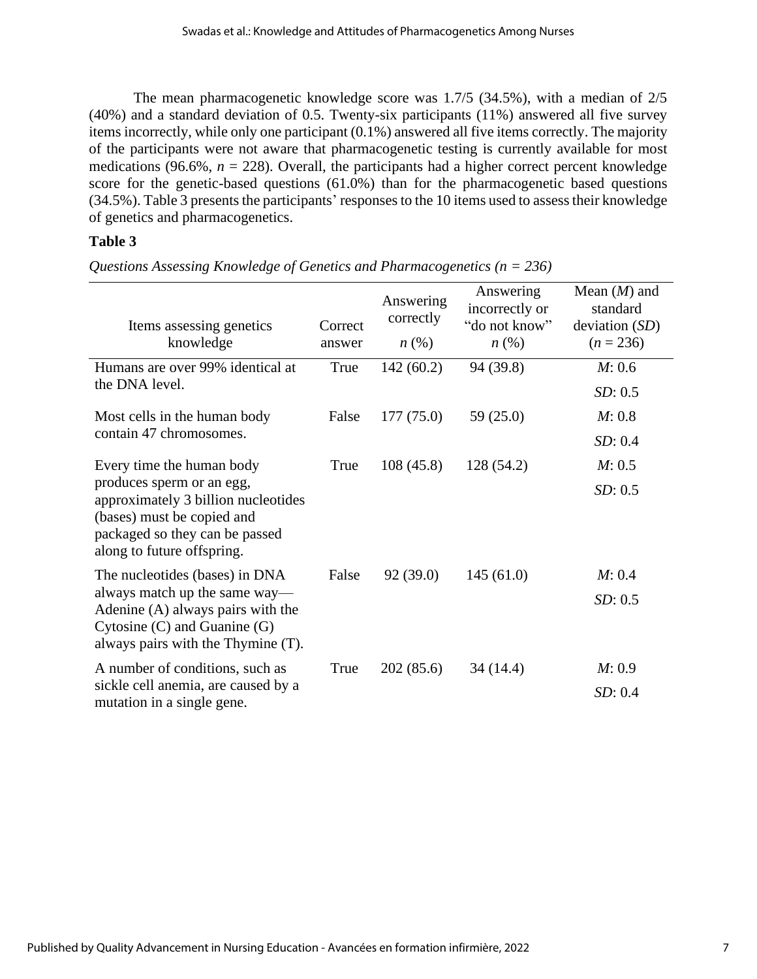The mean pharmacogenetic knowledge score was 1.7/5 (34.5%), with a median of 2/5 (40%) and a standard deviation of 0.5. Twenty-six participants (11%) answered all five survey items incorrectly, while only one participant (0.1%) answered all five items correctly. The majority of the participants were not aware that pharmacogenetic testing is currently available for most medications (96.6%,  $n = 228$ ). Overall, the participants had a higher correct percent knowledge score for the genetic-based questions (61.0%) than for the pharmacogenetic based questions (34.5%). Table 3 presents the participants' responses to the 10 items used to assess their knowledge of genetics and pharmacogenetics.

## **Table 3**

| Items assessing genetics<br>knowledge                                                                                                                          | Correct<br>answer | Answering<br>correctly<br>$n\left(\%\right)$ | Answering<br>incorrectly or<br>"do not know"<br>$n\left(\%\right)$ | Mean $(M)$ and<br>standard<br>deviation $(SD)$<br>$(n = 236)$ |
|----------------------------------------------------------------------------------------------------------------------------------------------------------------|-------------------|----------------------------------------------|--------------------------------------------------------------------|---------------------------------------------------------------|
| Humans are over 99% identical at                                                                                                                               | True              | 142(60.2)                                    | 94 (39.8)                                                          | M: 0.6                                                        |
| the DNA level.                                                                                                                                                 |                   |                                              |                                                                    | SD: 0.5                                                       |
| Most cells in the human body                                                                                                                                   | False             | 177(75.0)                                    | 59(25.0)                                                           | M: 0.8                                                        |
| contain 47 chromosomes.                                                                                                                                        |                   |                                              |                                                                    | SD: 0.4                                                       |
| Every time the human body                                                                                                                                      | True              | 108(45.8)                                    | 128 (54.2)                                                         | M: 0.5                                                        |
| produces sperm or an egg,<br>approximately 3 billion nucleotides<br>(bases) must be copied and<br>packaged so they can be passed<br>along to future offspring. |                   |                                              |                                                                    | SD: 0.5                                                       |
| The nucleotides (bases) in DNA                                                                                                                                 | False             | 92(39.0)                                     | 145(61.0)                                                          | M: 0.4                                                        |
| always match up the same way—<br>Adenine (A) always pairs with the<br>Cytosine $(C)$ and Guanine $(G)$<br>always pairs with the Thymine (T).                   |                   |                                              |                                                                    | SD: 0.5                                                       |
| A number of conditions, such as<br>sickle cell anemia, are caused by a<br>mutation in a single gene.                                                           | True              | 202(85.6)                                    | 34 (14.4)                                                          | M: 0.9<br>SD: 0.4                                             |

*Questions Assessing Knowledge of Genetics and Pharmacogenetics (n = 236)*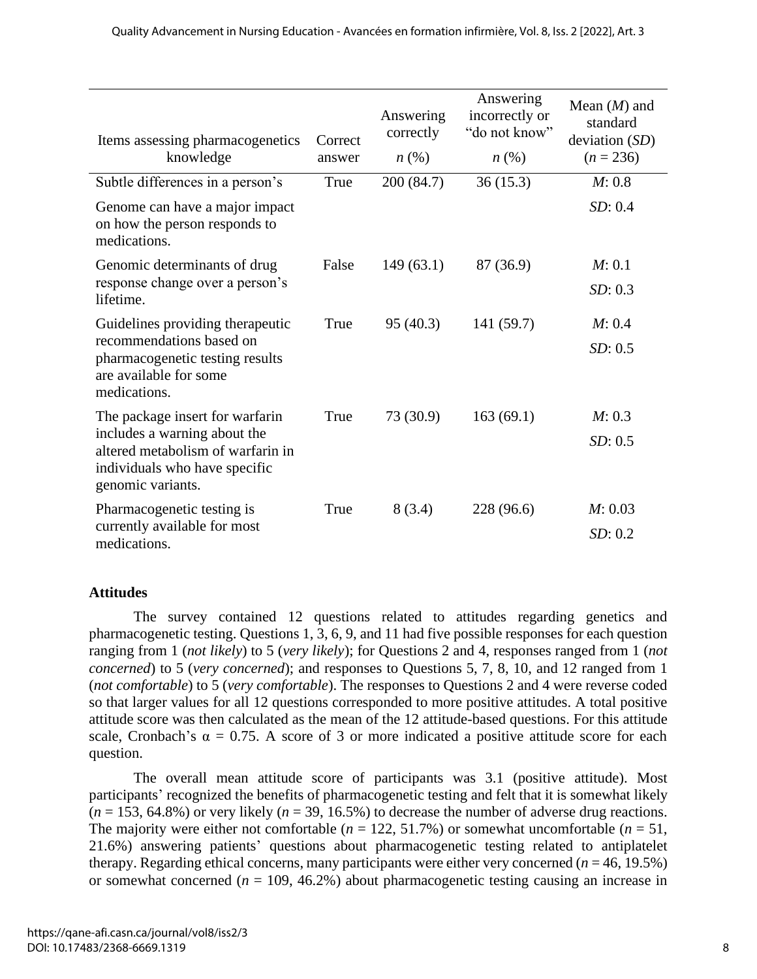| Items assessing pharmacogenetics<br>knowledge                                                                           | Correct<br>answer | Answering<br>correctly<br>$n\left(\%\right)$ | Answering<br>incorrectly or<br>"do not know"<br>$n\left(\%\right)$ | Mean $(M)$ and<br>standard<br>deviation (SD)<br>$(n = 236)$ |
|-------------------------------------------------------------------------------------------------------------------------|-------------------|----------------------------------------------|--------------------------------------------------------------------|-------------------------------------------------------------|
| Subtle differences in a person's                                                                                        | True              | 200 (84.7)                                   | 36(15.3)                                                           | M: 0.8                                                      |
| Genome can have a major impact<br>on how the person responds to<br>medications.                                         |                   |                                              |                                                                    | SD: 0.4                                                     |
| Genomic determinants of drug                                                                                            | False             | 149(63.1)                                    | 87 (36.9)                                                          | M: 0.1                                                      |
| response change over a person's<br>lifetime.                                                                            |                   |                                              |                                                                    | SD: 0.3                                                     |
| Guidelines providing therapeutic                                                                                        | True              | 95(40.3)                                     | 141 (59.7)                                                         | M: 0.4                                                      |
| recommendations based on<br>pharmacogenetic testing results<br>are available for some<br>medications.                   |                   |                                              |                                                                    | SD: 0.5                                                     |
| The package insert for warfarin                                                                                         | True              | 73 (30.9)                                    | 163(69.1)                                                          | M: 0.3                                                      |
| includes a warning about the<br>altered metabolism of warfarin in<br>individuals who have specific<br>genomic variants. |                   |                                              |                                                                    | SD: 0.5                                                     |
| Pharmacogenetic testing is                                                                                              | True              | 8(3.4)                                       | 228 (96.6)                                                         | M: 0.03                                                     |
| currently available for most<br>medications.                                                                            |                   |                                              |                                                                    | SD: 0.2                                                     |

#### **Attitudes**

The survey contained 12 questions related to attitudes regarding genetics and pharmacogenetic testing. Questions 1, 3, 6, 9, and 11 had five possible responses for each question ranging from 1 (*not likely*) to 5 (*very likely*); for Questions 2 and 4, responses ranged from 1 (*not concerned*) to 5 (*very concerned*); and responses to Questions 5, 7, 8, 10, and 12 ranged from 1 (*not comfortable*) to 5 (*very comfortable*). The responses to Questions 2 and 4 were reverse coded so that larger values for all 12 questions corresponded to more positive attitudes. A total positive attitude score was then calculated as the mean of the 12 attitude-based questions. For this attitude scale, Cronbach's  $\alpha = 0.75$ . A score of 3 or more indicated a positive attitude score for each question.

The overall mean attitude score of participants was 3.1 (positive attitude). Most participants' recognized the benefits of pharmacogenetic testing and felt that it is somewhat likely  $(n = 153, 64.8\%)$  or very likely  $(n = 39, 16.5\%)$  to decrease the number of adverse drug reactions. The majority were either not comfortable ( $n = 122, 51.7\%$ ) or somewhat uncomfortable ( $n = 51$ , 21.6%) answering patients' questions about pharmacogenetic testing related to antiplatelet therapy. Regarding ethical concerns, many participants were either very concerned ( $n = 46, 19.5\%$ ) or somewhat concerned  $(n = 109, 46.2\%)$  about pharmacogenetic testing causing an increase in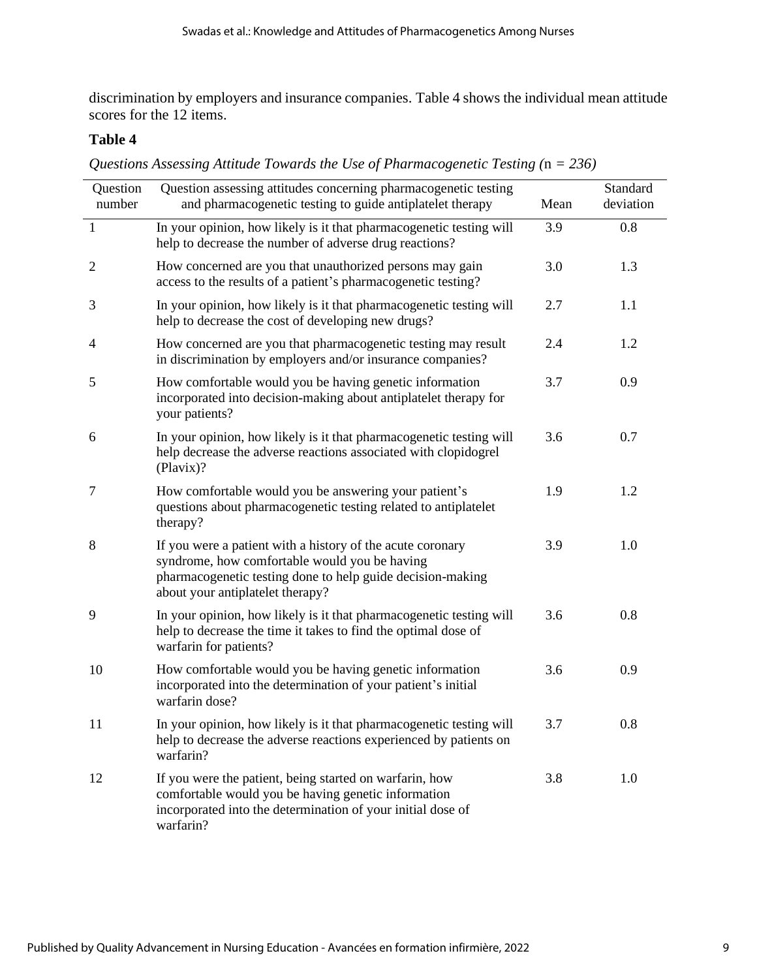discrimination by employers and insurance companies. Table 4 shows the individual mean attitude scores for the 12 items.

#### **Table 4**

*Questions Assessing Attitude Towards the Use of Pharmacogenetic Testing (*n *= 236)*

| Question<br>number | Question assessing attitudes concerning pharmacogenetic testing<br>and pharmacogenetic testing to guide antiplatelet therapy                                                                                  | Mean | Standard<br>deviation |
|--------------------|---------------------------------------------------------------------------------------------------------------------------------------------------------------------------------------------------------------|------|-----------------------|
| $\mathbf{1}$       | In your opinion, how likely is it that pharmacogenetic testing will<br>help to decrease the number of adverse drug reactions?                                                                                 | 3.9  | 0.8                   |
| $\mathbf{2}$       | How concerned are you that unauthorized persons may gain<br>access to the results of a patient's pharmacogenetic testing?                                                                                     | 3.0  | 1.3                   |
| 3                  | In your opinion, how likely is it that pharmacogenetic testing will<br>help to decrease the cost of developing new drugs?                                                                                     | 2.7  | 1.1                   |
| 4                  | How concerned are you that pharmacogenetic testing may result<br>in discrimination by employers and/or insurance companies?                                                                                   | 2.4  | 1.2                   |
| 5                  | How comfortable would you be having genetic information<br>incorporated into decision-making about antiplatelet therapy for<br>your patients?                                                                 | 3.7  | 0.9                   |
| 6                  | In your opinion, how likely is it that pharmacogenetic testing will<br>help decrease the adverse reactions associated with clopidogrel<br>(Plavix)?                                                           | 3.6  | 0.7                   |
| 7                  | How comfortable would you be answering your patient's<br>questions about pharmacogenetic testing related to antiplatelet<br>therapy?                                                                          | 1.9  | 1.2                   |
| 8                  | If you were a patient with a history of the acute coronary<br>syndrome, how comfortable would you be having<br>pharmacogenetic testing done to help guide decision-making<br>about your antiplatelet therapy? | 3.9  | 1.0                   |
| 9                  | In your opinion, how likely is it that pharmacogenetic testing will<br>help to decrease the time it takes to find the optimal dose of<br>warfarin for patients?                                               | 3.6  | 0.8                   |
| 10                 | How comfortable would you be having genetic information<br>incorporated into the determination of your patient's initial<br>warfarin dose?                                                                    | 3.6  | 0.9                   |
| 11                 | In your opinion, how likely is it that pharmacogenetic testing will<br>help to decrease the adverse reactions experienced by patients on<br>warfarin?                                                         | 3.7  | 0.8                   |
| 12                 | If you were the patient, being started on warfarin, how<br>comfortable would you be having genetic information<br>incorporated into the determination of your initial dose of<br>warfarin?                    | 3.8  | 1.0                   |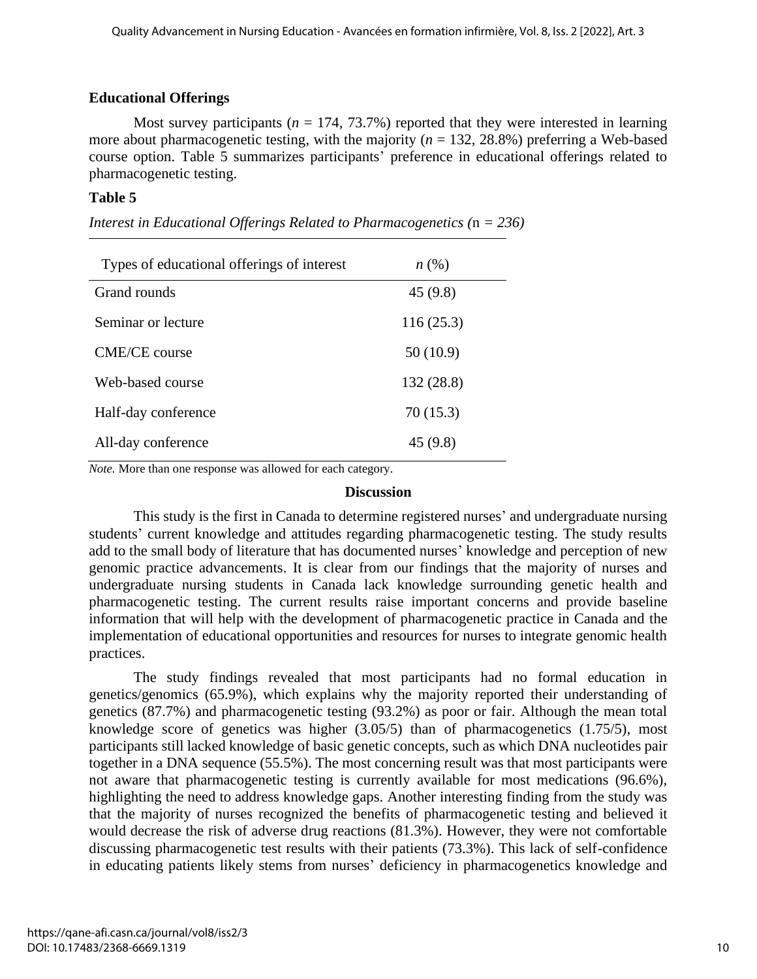## **Educational Offerings**

Most survey participants ( $n = 174, 73.7\%$ ) reported that they were interested in learning more about pharmacogenetic testing, with the majority ( $n = 132, 28.8\%$ ) preferring a Web-based course option. Table 5 summarizes participants' preference in educational offerings related to pharmacogenetic testing.

## **Table 5**

| Types of educational offerings of interest | $n\left(\%\right)$ |
|--------------------------------------------|--------------------|
| Grand rounds                               | 45(9.8)            |
| Seminar or lecture                         | 116(25.3)          |
| CME/CE course                              | 50(10.9)           |
| Web-based course                           | 132 (28.8)         |
| Half-day conference                        | 70 (15.3)          |
| All-day conference                         | 45 (9.8)           |

*Interest in Educational Offerings Related to Pharmacogenetics (*n *= 236)*

*Note.* More than one response was allowed for each category.

#### **Discussion**

This study is the first in Canada to determine registered nurses' and undergraduate nursing students' current knowledge and attitudes regarding pharmacogenetic testing. The study results add to the small body of literature that has documented nurses' knowledge and perception of new genomic practice advancements. It is clear from our findings that the majority of nurses and undergraduate nursing students in Canada lack knowledge surrounding genetic health and pharmacogenetic testing. The current results raise important concerns and provide baseline information that will help with the development of pharmacogenetic practice in Canada and the implementation of educational opportunities and resources for nurses to integrate genomic health practices.

The study findings revealed that most participants had no formal education in genetics/genomics (65.9%), which explains why the majority reported their understanding of genetics (87.7%) and pharmacogenetic testing (93.2%) as poor or fair. Although the mean total knowledge score of genetics was higher (3.05/5) than of pharmacogenetics (1.75/5), most participants still lacked knowledge of basic genetic concepts, such as which DNA nucleotides pair together in a DNA sequence (55.5%). The most concerning result was that most participants were not aware that pharmacogenetic testing is currently available for most medications (96.6%), highlighting the need to address knowledge gaps. Another interesting finding from the study was that the majority of nurses recognized the benefits of pharmacogenetic testing and believed it would decrease the risk of adverse drug reactions (81.3%). However, they were not comfortable discussing pharmacogenetic test results with their patients (73.3%). This lack of self-confidence in educating patients likely stems from nurses' deficiency in pharmacogenetics knowledge and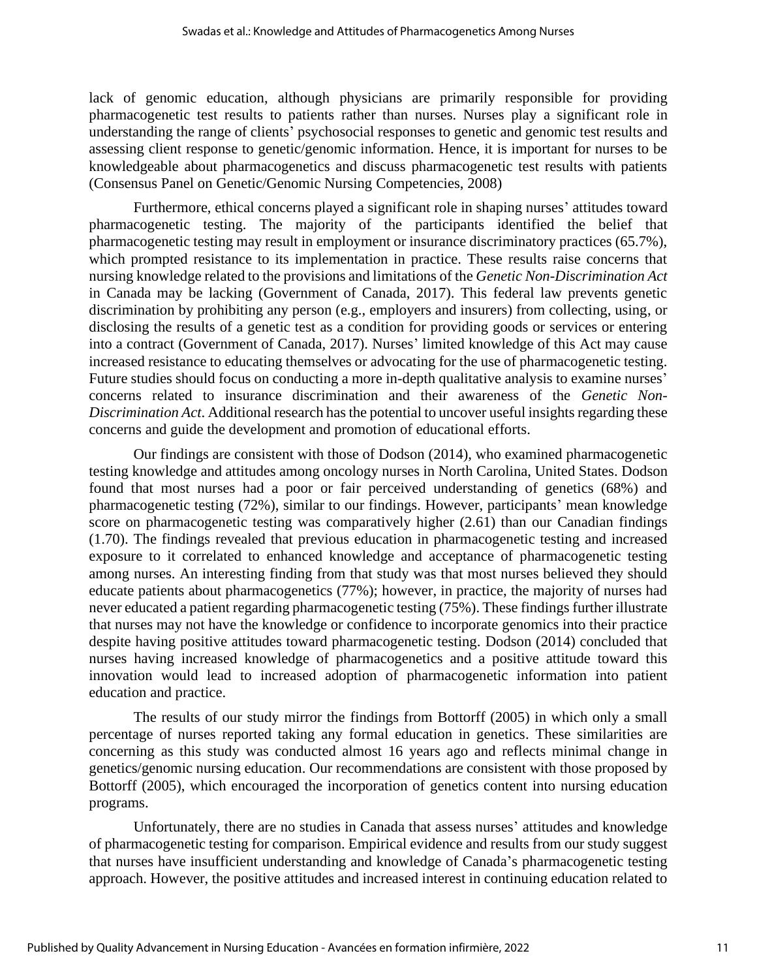lack of genomic education, although physicians are primarily responsible for providing pharmacogenetic test results to patients rather than nurses. Nurses play a significant role in understanding the range of clients' psychosocial responses to genetic and genomic test results and assessing client response to genetic/genomic information. Hence, it is important for nurses to be knowledgeable about pharmacogenetics and discuss pharmacogenetic test results with patients (Consensus Panel on Genetic/Genomic Nursing Competencies, 2008)

Furthermore, ethical concerns played a significant role in shaping nurses' attitudes toward pharmacogenetic testing. The majority of the participants identified the belief that pharmacogenetic testing may result in employment or insurance discriminatory practices (65.7%), which prompted resistance to its implementation in practice. These results raise concerns that nursing knowledge related to the provisions and limitations of the *Genetic Non-Discrimination Act* in Canada may be lacking (Government of Canada, 2017). This federal law prevents genetic discrimination by prohibiting any person (e.g., employers and insurers) from collecting, using, or disclosing the results of a genetic test as a condition for providing goods or services or entering into a contract (Government of Canada, 2017). Nurses' limited knowledge of this Act may cause increased resistance to educating themselves or advocating for the use of pharmacogenetic testing. Future studies should focus on conducting a more in-depth qualitative analysis to examine nurses' concerns related to insurance discrimination and their awareness of the *Genetic Non-Discrimination Act*. Additional research has the potential to uncover useful insights regarding these concerns and guide the development and promotion of educational efforts.

Our findings are consistent with those of Dodson (2014), who examined pharmacogenetic testing knowledge and attitudes among oncology nurses in North Carolina, United States. Dodson found that most nurses had a poor or fair perceived understanding of genetics (68%) and pharmacogenetic testing (72%), similar to our findings. However, participants' mean knowledge score on pharmacogenetic testing was comparatively higher (2.61) than our Canadian findings (1.70). The findings revealed that previous education in pharmacogenetic testing and increased exposure to it correlated to enhanced knowledge and acceptance of pharmacogenetic testing among nurses. An interesting finding from that study was that most nurses believed they should educate patients about pharmacogenetics (77%); however, in practice, the majority of nurses had never educated a patient regarding pharmacogenetic testing (75%). These findings further illustrate that nurses may not have the knowledge or confidence to incorporate genomics into their practice despite having positive attitudes toward pharmacogenetic testing. Dodson (2014) concluded that nurses having increased knowledge of pharmacogenetics and a positive attitude toward this innovation would lead to increased adoption of pharmacogenetic information into patient education and practice.

The results of our study mirror the findings from Bottorff (2005) in which only a small percentage of nurses reported taking any formal education in genetics. These similarities are concerning as this study was conducted almost 16 years ago and reflects minimal change in genetics/genomic nursing education. Our recommendations are consistent with those proposed by Bottorff (2005), which encouraged the incorporation of genetics content into nursing education programs.

Unfortunately, there are no studies in Canada that assess nurses' attitudes and knowledge of pharmacogenetic testing for comparison. Empirical evidence and results from our study suggest that nurses have insufficient understanding and knowledge of Canada's pharmacogenetic testing approach. However, the positive attitudes and increased interest in continuing education related to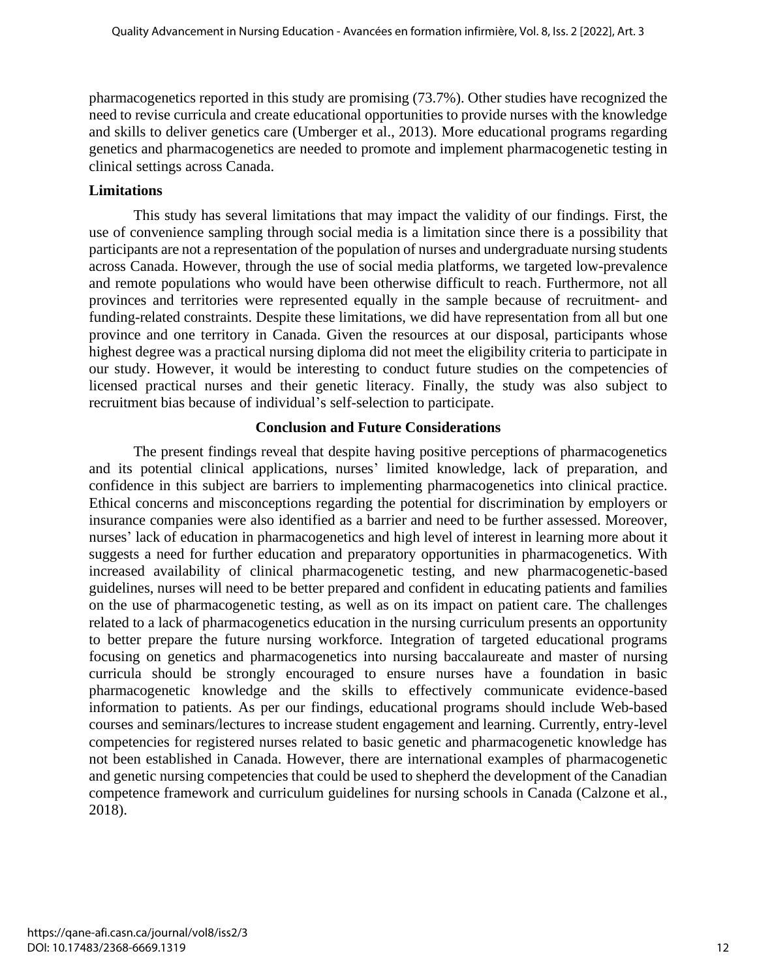pharmacogenetics reported in this study are promising (73.7%). Other studies have recognized the need to revise curricula and create educational opportunities to provide nurses with the knowledge and skills to deliver genetics care (Umberger et al., 2013). More educational programs regarding genetics and pharmacogenetics are needed to promote and implement pharmacogenetic testing in clinical settings across Canada.

## **Limitations**

This study has several limitations that may impact the validity of our findings. First, the use of convenience sampling through social media is a limitation since there is a possibility that participants are not a representation of the population of nurses and undergraduate nursing students across Canada. However, through the use of social media platforms, we targeted low-prevalence and remote populations who would have been otherwise difficult to reach. Furthermore, not all provinces and territories were represented equally in the sample because of recruitment- and funding-related constraints. Despite these limitations, we did have representation from all but one province and one territory in Canada. Given the resources at our disposal, participants whose highest degree was a practical nursing diploma did not meet the eligibility criteria to participate in our study. However, it would be interesting to conduct future studies on the competencies of licensed practical nurses and their genetic literacy. Finally, the study was also subject to recruitment bias because of individual's self-selection to participate.

## **Conclusion and Future Considerations**

The present findings reveal that despite having positive perceptions of pharmacogenetics and its potential clinical applications, nurses' limited knowledge, lack of preparation, and confidence in this subject are barriers to implementing pharmacogenetics into clinical practice. Ethical concerns and misconceptions regarding the potential for discrimination by employers or insurance companies were also identified as a barrier and need to be further assessed. Moreover, nurses' lack of education in pharmacogenetics and high level of interest in learning more about it suggests a need for further education and preparatory opportunities in pharmacogenetics. With increased availability of clinical pharmacogenetic testing, and new pharmacogenetic-based guidelines, nurses will need to be better prepared and confident in educating patients and families on the use of pharmacogenetic testing, as well as on its impact on patient care. The challenges related to a lack of pharmacogenetics education in the nursing curriculum presents an opportunity to better prepare the future nursing workforce. Integration of targeted educational programs focusing on genetics and pharmacogenetics into nursing baccalaureate and master of nursing curricula should be strongly encouraged to ensure nurses have a foundation in basic pharmacogenetic knowledge and the skills to effectively communicate evidence-based information to patients. As per our findings, educational programs should include Web-based courses and seminars/lectures to increase student engagement and learning. Currently, entry-level competencies for registered nurses related to basic genetic and pharmacogenetic knowledge has not been established in Canada. However, there are international examples of pharmacogenetic and genetic nursing competencies that could be used to shepherd the development of the Canadian competence framework and curriculum guidelines for nursing schools in Canada (Calzone et al., 2018).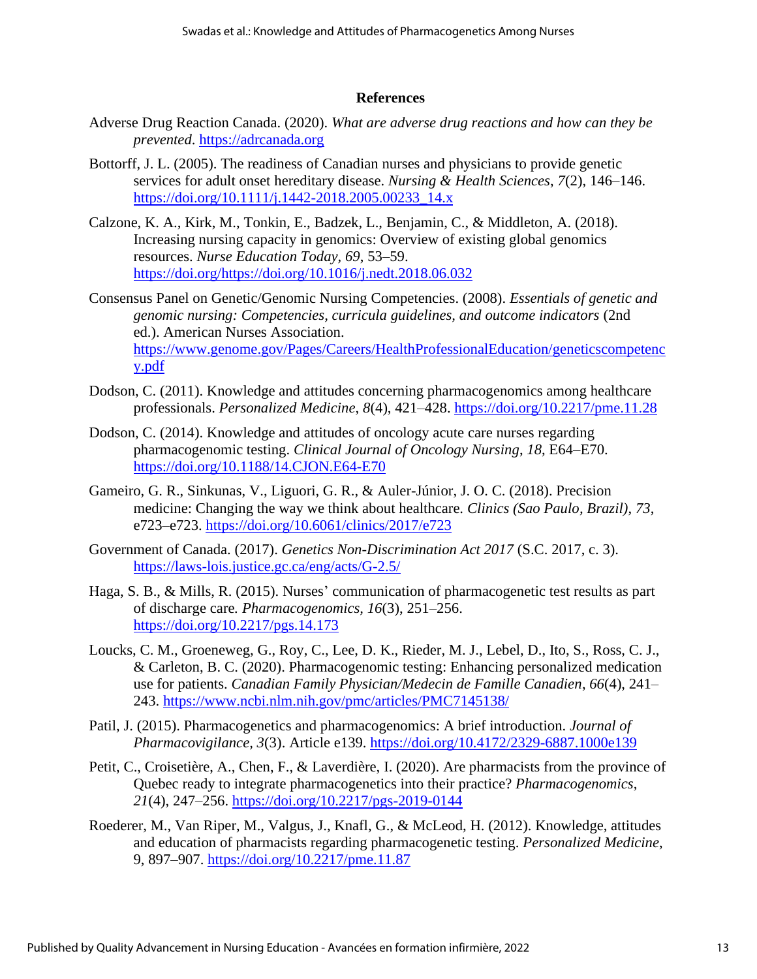#### **References**

- Adverse Drug Reaction Canada. (2020). *What are adverse drug reactions and how can they be prevented*. https://adrcanada.org
- Bottorff, J. L. (2005). The readiness of Canadian nurses and physicians to provide genetic services for adult onset hereditary disease. *Nursing & Health Sciences*, *7*(2), 146–146. https://doi.org/10.1111/j.1442-2018.2005.00233\_14.x
- Calzone, K. A., Kirk, M., Tonkin, E., Badzek, L., Benjamin, C., & Middleton, A. (2018). Increasing nursing capacity in genomics: Overview of existing global genomics resources. *Nurse Education Today, 69*, 53–59. https://doi.org/https://doi.org/10.1016/j.nedt.2018.06.032
- Consensus Panel on Genetic/Genomic Nursing Competencies. (2008). *Essentials of genetic and genomic nursing: Competencies, curricula guidelines, and outcome indicators* (2nd ed.). American Nurses Association. https://www.genome.gov/Pages/Careers/HealthProfessionalEducation/geneticscompetenc y.pdf
- Dodson, C. (2011). Knowledge and attitudes concerning pharmacogenomics among healthcare professionals. *Personalized Medicine*, *8*(4), 421–428. https://doi.org/10.2217/pme.11.28
- Dodson, C. (2014). Knowledge and attitudes of oncology acute care nurses regarding pharmacogenomic testing. *Clinical Journal of Oncology Nursing*, *18*, E64–E70. https://doi.org/10.1188/14.CJON.E64-E70
- Gameiro, G. R., Sinkunas, V., Liguori, G. R., & Auler-Júnior, J. O. C. (2018). Precision medicine: Changing the way we think about healthcare. *Clinics (Sao Paulo, Brazil)*, *73*, e723–e723. https://doi.org/10.6061/clinics/2017/e723
- Government of Canada. (2017). *Genetics Non-Discrimination Act 2017* (S.C. 2017, c. 3). https://laws-lois.justice.gc.ca/eng/acts/G-2.5/
- Haga, S. B., & Mills, R. (2015). Nurses' communication of pharmacogenetic test results as part of discharge care*. Pharmacogenomics, 16*(3), 251–256. https://doi.org/10.2217/pgs.14.173
- Loucks, C. M., Groeneweg, G., Roy, C., Lee, D. K., Rieder, M. J., Lebel, D., Ito, S., Ross, C. J., & Carleton, B. C. (2020). Pharmacogenomic testing: Enhancing personalized medication use for patients. *Canadian Family Physician/Medecin de Famille Canadien*, *66*(4), 241– 243. https://www.ncbi.nlm.nih.gov/pmc/articles/PMC7145138/
- Patil, J. (2015). Pharmacogenetics and pharmacogenomics: A brief introduction. *Journal of Pharmacovigilance, 3*(3). Article e139. https://doi.org/10.4172/2329-6887.1000e139
- Petit, C., Croisetière, A., Chen, F., & Laverdière, I. (2020). Are pharmacists from the province of Quebec ready to integrate pharmacogenetics into their practice? *Pharmacogenomics*, *21*(4), 247–256. https://doi.org/10.2217/pgs-2019-0144
- Roederer, M., Van Riper, M., Valgus, J., Knafl, G., & McLeod, H. (2012). Knowledge, attitudes and education of pharmacists regarding pharmacogenetic testing. *Personalized Medicine*, 9, 897–907. https://doi.org/10.2217/pme.11.87